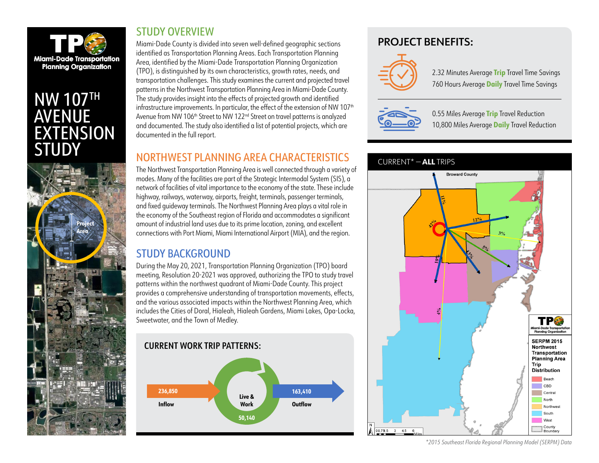

# **NW 107TH** AVENUE EXTENSION **STUDY**



#### STUDY OVERVIEW

Miami-Dade County is divided into seven well-defined geographic sections identified as Transportation Planning Areas. Each Transportation Planning Area, identified by the Miami-Dade Transportation Planning Organization (TPO), is distinguished by its own characteristics, growth rates, needs, and transportation challenges. This study examines the current and projected travel patterns in the Northwest Transportation Planning Area in Miami-Dade County. The study provides insight into the effects of projected growth and identified infrastructure improvements. In particular, the effect of the extension of NW 107<sup>th</sup> Avenue from NW 106<sup>th</sup> Street to NW 122<sup>nd</sup> Street on travel patterns is analyzed and documented. The study also identified a list of potential projects, which are documented in the full report.

## NORTHWEST PLANNING AREA CHARACTERISTICS

The Northwest Transportation Planning Area is well connected through a variety of modes. Many of the facilities are part of the Strategic Intermodal System (SIS), a network of facilities of vital importance to the economy of the state. These include highway, railways, waterway, airports, freight, terminals, passenger terminals, and fixed guideway terminals. The Northwest Planning Area plays a vital role in the economy of the Southeast region of Florida and accommodates a significant amount of industrial land uses due to its prime location, zoning, and excellent connections with Port Miami, Miami International Airport (MIA), and the region.

### STUDY BACKGROUND

During the May 20, 2021, Transportation Planning Organization (TPO) board meeting, Resolution 20-2021 was approved, authorizing the TPO to study travel patterns within the northwest quadrant of Miami-Dade County. This project provides a comprehensive understanding of transportation movements, effects, and the various associated impacts within the Northwest Planning Area, which includes the Cities of Doral, Hialeah, Hialeah Gardens, Miami Lakes, Opa-Locka, Sweetwater, and the Town of Medley.





### PROJECT BENEFITS:



2.32 Minutes Average **Trip** Travel Time Savings 760 Hours Average **Daily** Travel Time Savings



0.55 Miles Average **Trip** Travel Reduction 10,800 Miles Average **Daily** Travel Reduction



#### *\*2015 Southeast Florida Regional Planning Model (SERPM) Data*